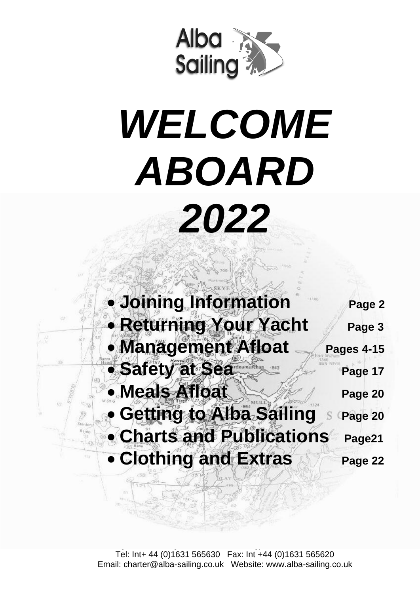

# *WELCOME ABOARD*

*2022*

 • **Joining Information Page 2** • **Returning Your Yacht Page 3** • **Management Afloat** Pages 4-15 • Safety at Sea • **Meals Afloat** New Page 20 **Getting to Alba Sailing** S Page 20 • **Charts and Publications Page21 • Clothing and Extras** Page 22

> Tel: Int+ 44 (0)1631 565630 Fax: Int +44 (0)1631 565620 Email: charter@alba-sailing.co.uk Website: www.alba-sailing.co.uk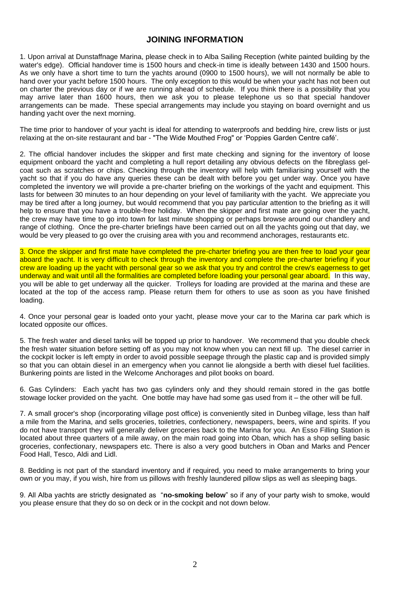#### **JOINING INFORMATION**

1. Upon arrival at Dunstaffnage Marina, please check in to Alba Sailing Reception (white painted building by the water's edge). Official handover time is 1500 hours and check-in time is ideally between 1430 and 1500 hours. As we only have a short time to turn the yachts around (0900 to 1500 hours), we will not normally be able to hand over your yacht before 1500 hours. The only exception to this would be when your yacht has not been out on charter the previous day or if we are running ahead of schedule. If you think there is a possibility that you may arrive later than 1600 hours, then we ask you to please telephone us so that special handover arrangements can be made. These special arrangements may include you staying on board overnight and us handing yacht over the next morning.

The time prior to handover of your yacht is ideal for attending to waterproofs and bedding hire, crew lists or just relaxing at the on-site restaurant and bar - "The Wide Mouthed Frog" or 'Poppies Garden Centre café'.

2. The official handover includes the skipper and first mate checking and signing for the inventory of loose equipment onboard the yacht and completing a hull report detailing any obvious defects on the fibreglass gelcoat such as scratches or chips. Checking through the inventory will help with familiarising yourself with the yacht so that if you do have any queries these can be dealt with before you get under way. Once you have completed the inventory we will provide a pre-charter briefing on the workings of the yacht and equipment. This lasts for between 30 minutes to an hour depending on your level of familiarity with the yacht. We appreciate you may be tired after a long journey, but would recommend that you pay particular attention to the briefing as it will help to ensure that you have a trouble-free holiday. When the skipper and first mate are going over the yacht, the crew may have time to go into town for last minute shopping or perhaps browse around our chandlery and range of clothing. Once the pre-charter briefings have been carried out on all the yachts going out that day, we would be very pleased to go over the cruising area with you and recommend anchorages, restaurants etc.

3. Once the skipper and first mate have completed the pre-charter briefing you are then free to load your gear aboard the yacht. It is very difficult to check through the inventory and complete the pre-charter briefing if your crew are loading up the yacht with personal gear so we ask that you try and control the crew's eagerness to get underway and wait until all the formalities are completed before loading your personal gear aboard. In this way, you will be able to get underway all the quicker. Trolleys for loading are provided at the marina and these are located at the top of the access ramp. Please return them for others to use as soon as you have finished loading.

4. Once your personal gear is loaded onto your yacht, please move your car to the Marina car park which is located opposite our offices.

5. The fresh water and diesel tanks will be topped up prior to handover. We recommend that you double check the fresh water situation before setting off as you may not know when you can next fill up. The diesel carrier in the cockpit locker is left empty in order to avoid possible seepage through the plastic cap and is provided simply so that you can obtain diesel in an emergency when you cannot lie alongside a berth with diesel fuel facilities. Bunkering points are listed in the Welcome Anchorages and pilot books on board.

6. Gas Cylinders: Each yacht has two gas cylinders only and they should remain stored in the gas bottle stowage locker provided on the yacht. One bottle may have had some gas used from it – the other will be full.

7. A small grocer's shop (incorporating village post office) is conveniently sited in Dunbeg village, less than half a mile from the Marina, and sells groceries, toiletries, confectionery, newspapers, beers, wine and spirits. If you do not have transport they will generally deliver groceries back to the Marina for you. An Esso Filling Station is located about three quarters of a mile away, on the main road going into Oban, which has a shop selling basic groceries, confectionary, newspapers etc. There is also a very good butchers in Oban and Marks and Pencer Food Hall, Tesco, Aldi and Lidl.

8. Bedding is not part of the standard inventory and if required, you need to make arrangements to bring your own or you may, if you wish, hire from us pillows with freshly laundered pillow slips as well as sleeping bags.

9. All Alba yachts are strictly designated as "**no-smoking below**" so if any of your party wish to smoke, would you please ensure that they do so on deck or in the cockpit and not down below.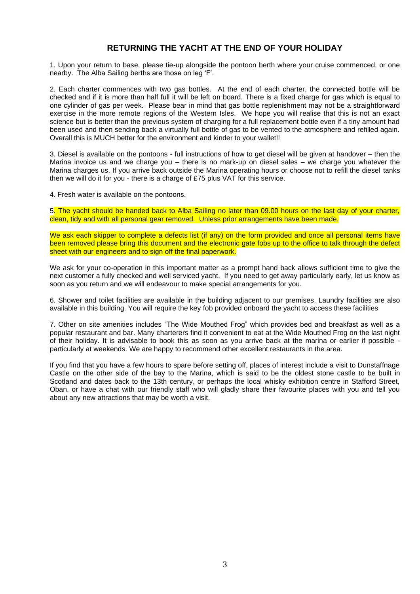#### **RETURNING THE YACHT AT THE END OF YOUR HOLIDAY**

1. Upon your return to base, please tie-up alongside the pontoon berth where your cruise commenced, or one nearby. The Alba Sailing berths are those on leg 'F'.

2. Each charter commences with two gas bottles. At the end of each charter, the connected bottle will be checked and if it is more than half full it will be left on board. There is a fixed charge for gas which is equal to one cylinder of gas per week. Please bear in mind that gas bottle replenishment may not be a straightforward exercise in the more remote regions of the Western Isles. We hope you will realise that this is not an exact science but is better than the previous system of charging for a full replacement bottle even if a tiny amount had been used and then sending back a virtually full bottle of gas to be vented to the atmosphere and refilled again. Overall this is MUCH better for the environment and kinder to your wallet!!

3. Diesel is available on the pontoons - full instructions of how to get diesel will be given at handover – then the Marina invoice us and we charge you – there is no mark-up on diesel sales – we charge you whatever the Marina charges us. If you arrive back outside the Marina operating hours or choose not to refill the diesel tanks then we will do it for you - there is a charge of £75 plus VAT for this service.

4. Fresh water is available on the pontoons.

5. The yacht should be handed back to Alba Sailing no later than 09.00 hours on the last day of your charter, clean, tidy and with all personal gear removed. Unless prior arrangements have been made.

We ask each skipper to complete a defects list (if any) on the form provided and once all personal items have been removed please bring this document and the electronic gate fobs up to the office to talk through the defect sheet with our engineers and to sign off the final paperwork.

We ask for your co-operation in this important matter as a prompt hand back allows sufficient time to give the next customer a fully checked and well serviced yacht. If you need to get away particularly early, let us know as soon as you return and we will endeavour to make special arrangements for you.

6. Shower and toilet facilities are available in the building adjacent to our premises. Laundry facilities are also available in this building. You will require the key fob provided onboard the yacht to access these facilities

7. Other on site amenities includes "The Wide Mouthed Frog" which provides bed and breakfast as well as a popular restaurant and bar. Many charterers find it convenient to eat at the Wide Mouthed Frog on the last night of their holiday. It is advisable to book this as soon as you arrive back at the marina or earlier if possible particularly at weekends. We are happy to recommend other excellent restaurants in the area.

If you find that you have a few hours to spare before setting off, places of interest include a visit to Dunstaffnage Castle on the other side of the bay to the Marina, which is said to be the oldest stone castle to be built in Scotland and dates back to the 13th century, or perhaps the local whisky exhibition centre in Stafford Street, Oban, or have a chat with our friendly staff who will gladly share their favourite places with you and tell you about any new attractions that may be worth a visit.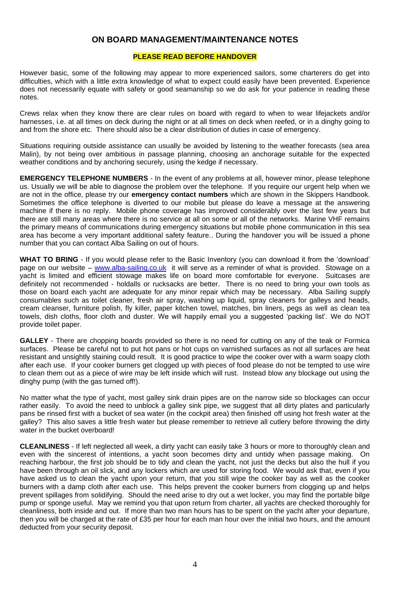#### **ON BOARD MANAGEMENT/MAINTENANCE NOTES**

#### **PLEASE READ BEFORE HANDOVER**

However basic, some of the following may appear to more experienced sailors, some charterers do get into difficulties, which with a little extra knowledge of what to expect could easily have been prevented. Experience does not necessarily equate with safety or good seamanship so we do ask for your patience in reading these notes.

Crews relax when they know there are clear rules on board with regard to when to wear lifejackets and/or harnesses, i.e. at all times on deck during the night or at all times on deck when reefed, or in a dinghy going to and from the shore etc. There should also be a clear distribution of duties in case of emergency.

Situations requiring outside assistance can usually be avoided by listening to the weather forecasts (sea area Malin), by not being over ambitious in passage planning, choosing an anchorage suitable for the expected weather conditions and by anchoring securely, using the kedge if necessary.

**EMERGENCY TELEPHONE NUMBERS** - In the event of any problems at all, however minor, please telephone us. Usually we will be able to diagnose the problem over the telephone. If you require our urgent help when we are not in the office, please try our **emergency contact numbers** which are shown in the Skippers Handbook. Sometimes the office telephone is diverted to our mobile but please do leave a message at the answering machine if there is no reply. Mobile phone coverage has improved considerably over the last few years but there are still many areas where there is no service at all on some or all of the networks. Marine VHF remains the primary means of communications during emergency situations but mobile phone communication in this sea area has become a very important additional safety feature.. During the handover you will be issued a phone number that you can contact Alba Sailing on out of hours.

**WHAT TO BRING** - If you would please refer to the Basic Inventory (you can download it from the 'download' page on our website – [www.alba-sailing.co.uk](http://www.alba-sailing.co.uk/) it will serve as a reminder of what is provided. Stowage on a yacht is limited and efficient stowage makes life on board more comfortable for everyone. Suitcases are definitely not recommended - holdalls or rucksacks are better. There is no need to bring your own tools as those on board each yacht are adequate for any minor repair which may be necessary. Alba Sailing supply consumables such as toilet cleaner, fresh air spray, washing up liquid, spray cleaners for galleys and heads, cream cleanser, furniture polish, fly killer, paper kitchen towel, matches, bin liners, pegs as well as clean tea towels, dish cloths, floor cloth and duster. We will happily email you a suggested 'packing list'. We do NOT provide toilet paper.

**GALLEY** - There are chopping boards provided so there is no need for cutting on any of the teak or Formica surfaces. Please be careful not to put hot pans or hot cups on varnished surfaces as not all surfaces are heat resistant and unsightly staining could result. It is good practice to wipe the cooker over with a warm soapy cloth after each use. If your cooker burners get clogged up with pieces of food please do not be tempted to use wire to clean them out as a piece of wire may be left inside which will rust. Instead blow any blockage out using the dinghy pump (with the gas turned off!).

No matter what the type of yacht, most galley sink drain pipes are on the narrow side so blockages can occur rather easily. To avoid the need to unblock a galley sink pipe, we suggest that all dirty plates and particularly pans be rinsed first with a bucket of sea water (in the cockpit area) then finished off using hot fresh water at the galley? This also saves a little fresh water but please remember to retrieve all cutlery before throwing the dirty water in the bucket overboard!

**CLEANLINESS** - If left neglected all week, a dirty yacht can easily take 3 hours or more to thoroughly clean and even with the sincerest of intentions, a yacht soon becomes dirty and untidy when passage making. On reaching harbour, the first job should be to tidy and clean the yacht, not just the decks but also the hull if you have been through an oil slick, and any lockers which are used for storing food. We would ask that, even if you have asked us to clean the yacht upon your return, that you still wipe the cooker bay as well as the cooker burners with a damp cloth after each use. This helps prevent the cooker burners from clogging up and helps prevent spillages from solidifying. Should the need arise to dry out a wet locker, you may find the portable bilge pump or sponge useful. May we remind you that upon return from charter, all yachts are checked thoroughly for cleanliness, both inside and out. If more than two man hours has to be spent on the yacht after your departure, then you will be charged at the rate of £35 per hour for each man hour over the initial two hours, and the amount deducted from your security deposit.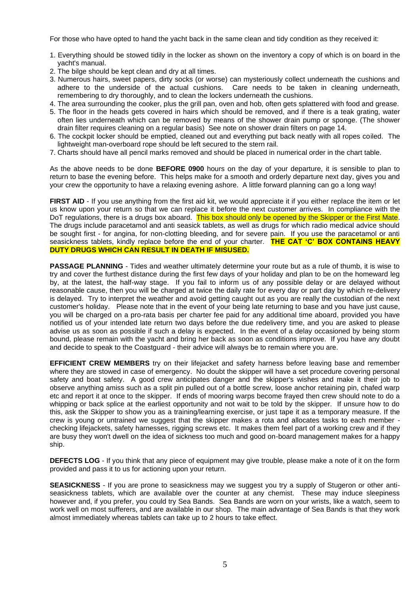For those who have opted to hand the yacht back in the same clean and tidy condition as they received it:

- 1. Everything should be stowed tidily in the locker as shown on the inventory a copy of which is on board in the yacht's manual.
- 2. The bilge should be kept clean and dry at all times.
- 3. Numerous hairs, sweet papers, dirty socks (or worse) can mysteriously collect underneath the cushions and adhere to the underside of the actual cushions. Care needs to be taken in cleaning underneath, remembering to dry thoroughly, and to clean the lockers underneath the cushions.
- 4. The area surrounding the cooker, plus the grill pan, oven and hob, often gets splattered with food and grease.
- 5. The floor in the heads gets covered in hairs which should be removed, and if there is a teak grating, water often lies underneath which can be removed by means of the shower drain pump or sponge. (The shower drain filter requires cleaning on a regular basis) See note on shower drain filters on page 14.
- 6. The cockpit locker should be emptied, cleaned out and everything put back neatly with all ropes coiled. The lightweight man-overboard rope should be left secured to the stern rail.
- 7. Charts should have all pencil marks removed and should be placed in numerical order in the chart table.

As the above needs to be done **BEFORE 0900** hours on the day of your departure, it is sensible to plan to return to base the evening before. This helps make for a smooth and orderly departure next day, gives you and your crew the opportunity to have a relaxing evening ashore. A little forward planning can go a long way!

FIRST AID - If you use anything from the first aid kit, we would appreciate it if you either replace the item or let us know upon your return so that we can replace it before the next customer arrives. In compliance with the DoT regulations, there is a drugs box aboard. This box should only be opened by the Skipper or the First Mate. The drugs include paracetamol and anti seasick tablets, as well as drugs for which radio medical advice should be sought first - for angina, for non-clotting bleeding, and for severe pain. If you use the paracetamol or anti seasickness tablets, kindly replace before the end of your charter. **THE CAT 'C' BOX CONTAINS HEAVY DUTY DRUGS WHICH CAN RESULT IN DEATH IF MISUSED.**

**PASSAGE PLANNING** - Tides and weather ultimately determine your route but as a rule of thumb, it is wise to try and cover the furthest distance during the first few days of your holiday and plan to be on the homeward leg by, at the latest, the half-way stage. If you fail to inform us of any possible delay or are delayed without reasonable cause, then you will be charged at twice the daily rate for every day or part day by which re-delivery is delayed. Try to interpret the weather and avoid getting caught out as you are really the custodian of the next customer's holiday. Please note that in the event of your being late returning to base and you have just cause, you will be charged on a pro-rata basis per charter fee paid for any additional time aboard, provided you have notified us of your intended late return two days before the due redelivery time, and you are asked to please advise us as soon as possible if such a delay is expected. In the event of a delay occasioned by being storm bound, please remain with the yacht and bring her back as soon as conditions improve. If you have any doubt and decide to speak to the Coastguard - their advice will always be to remain where you are.

**EFFICIENT CREW MEMBERS** try on their lifejacket and safety harness before leaving base and remember where they are stowed in case of emergency. No doubt the skipper will have a set procedure covering personal safety and boat safety. A good crew anticipates danger and the skipper's wishes and make it their job to observe anything amiss such as a split pin pulled out of a bottle screw, loose anchor retaining pin, chafed warp etc and report it at once to the skipper. If ends of mooring warps become frayed then crew should note to do a whipping or back splice at the earliest opportunity and not wait to be told by the skipper. If unsure how to do this, ask the Skipper to show you as a training/learning exercise, or just tape it as a temporary measure. If the crew is young or untrained we suggest that the skipper makes a rota and allocates tasks to each member checking lifejackets, safety harnesses, rigging screws etc. It makes them feel part of a working crew and if they are busy they won't dwell on the idea of sickness too much and good on-board management makes for a happy ship.

**DEFECTS LOG** - If you think that any piece of equipment may give trouble, please make a note of it on the form provided and pass it to us for actioning upon your return.

**SEASICKNESS** - If you are prone to seasickness may we suggest you try a supply of Stugeron or other antiseasickness tablets, which are available over the counter at any chemist. These may induce sleepiness however and, if you prefer, you could try Sea Bands. Sea Bands are worn on your wrists, like a watch, seem to work well on most sufferers, and are available in our shop. The main advantage of Sea Bands is that they work almost immediately whereas tablets can take up to 2 hours to take effect.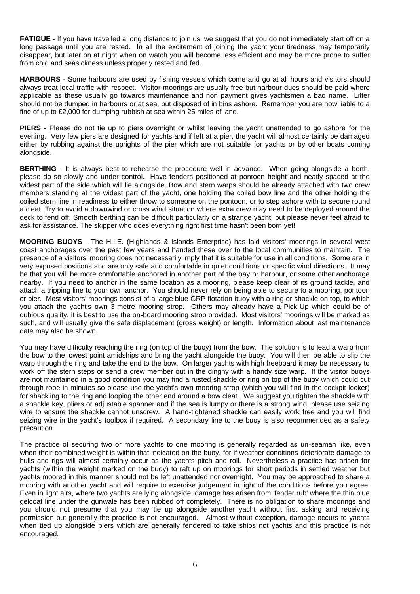**FATIGUE** - If you have travelled a long distance to join us, we suggest that you do not immediately start off on a long passage until you are rested. In all the excitement of joining the yacht your tiredness may temporarily disappear, but later on at night when on watch you will become less efficient and may be more prone to suffer from cold and seasickness unless properly rested and fed.

**HARBOURS** - Some harbours are used by fishing vessels which come and go at all hours and visitors should always treat local traffic with respect. Visitor moorings are usually free but harbour dues should be paid where applicable as these usually go towards maintenance and non payment gives yachtsmen a bad name. Litter should not be dumped in harbours or at sea, but disposed of in bins ashore. Remember you are now liable to a fine of up to £2,000 for dumping rubbish at sea within 25 miles of land.

**PIERS** - Please do not tie up to piers overnight or whilst leaving the yacht unattended to go ashore for the evening. Very few piers are designed for yachts and if left at a pier, the yacht will almost certainly be damaged either by rubbing against the uprights of the pier which are not suitable for yachts or by other boats coming alongside.

**BERTHING** - It is always best to rehearse the procedure well in advance. When going alongside a berth, please do so slowly and under control. Have fenders positioned at pontoon height and neatly spaced at the widest part of the side which will lie alongside. Bow and stern warps should be already attached with two crew members standing at the widest part of the yacht, one holding the coiled bow line and the other holding the coiled stern line in readiness to either throw to someone on the pontoon, or to step ashore with to secure round a cleat. Try to avoid a downwind or cross wind situation where extra crew may need to be deployed around the deck to fend off. Smooth berthing can be difficult particularly on a strange yacht, but please never feel afraid to ask for assistance. The skipper who does everything right first time hasn't been born yet!

**MOORING BUOYS** - The H.I.E. (Highlands & Islands Enterprise) has laid visitors' moorings in several west coast anchorages over the past few years and handed these over to the local communities to maintain. The presence of a visitors' mooring does not necessarily imply that it is suitable for use in all conditions. Some are in very exposed positions and are only safe and comfortable in quiet conditions or specific wind directions. It may be that you will be more comfortable anchored in another part of the bay or harbour, or some other anchorage nearby. If you need to anchor in the same location as a mooring, please keep clear of its ground tackle, and attach a tripping line to your own anchor. You should never rely on being able to secure to a mooring, pontoon or pier. Most visitors' moorings consist of a large blue GRP flotation buoy with a ring or shackle on top, to which you attach the yacht's own 3-metre mooring strop. Others may already have a Pick-Up which could be of dubious quality. It is best to use the on-board mooring strop provided. Most visitors' moorings will be marked as such, and will usually give the safe displacement (gross weight) or length. Information about last maintenance date may also be shown.

You may have difficulty reaching the ring (on top of the buoy) from the bow. The solution is to lead a warp from the bow to the lowest point amidships and bring the yacht alongside the buoy. You will then be able to slip the warp through the ring and take the end to the bow. On larger yachts with high freeboard it may be necessary to work off the stern steps or send a crew member out in the dinghy with a handy size warp. If the visitor buoys are not maintained in a good condition you may find a rusted shackle or ring on top of the buoy which could cut through rope in minutes so please use the yacht's own mooring strop (which you will find in the cockpit locker) for shackling to the ring and looping the other end around a bow cleat. We suggest you tighten the shackle with a shackle key, pliers or adjustable spanner and if the sea is lumpy or there is a strong wind, please use seizing wire to ensure the shackle cannot unscrew. A hand-tightened shackle can easily work free and you will find seizing wire in the yacht's toolbox if required. A secondary line to the buoy is also recommended as a safety precaution.

The practice of securing two or more yachts to one mooring is generally regarded as un-seaman like, even when their combined weight is within that indicated on the buoy, for if weather conditions deteriorate damage to hulls and rigs will almost certainly occur as the yachts pitch and roll. Nevertheless a practice has arisen for yachts (within the weight marked on the buoy) to raft up on moorings for short periods in settled weather but yachts moored in this manner should not be left unattended nor overnight. You may be approached to share a mooring with another yacht and will require to exercise judgement in light of the conditions before you agree. Even in light airs, where two yachts are lying alongside, damage has arisen from 'fender rub' where the thin blue gelcoat line under the gunwale has been rubbed off completely. There is no obligation to share moorings and you should not presume that you may tie up alongside another yacht without first asking and receiving permission but generally the practice is not encouraged. Almost without exception, damage occurs to yachts when tied up alongside piers which are generally fendered to take ships not yachts and this practice is not encouraged.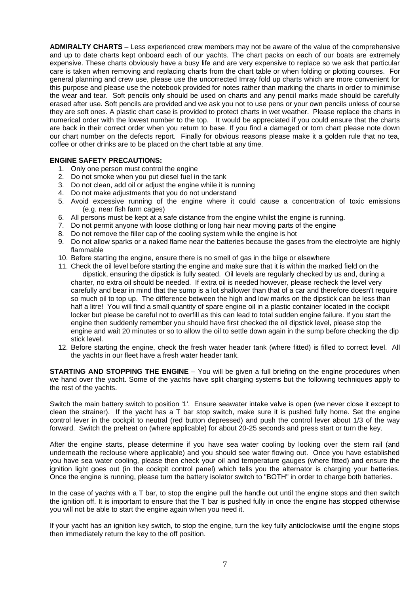**ADMIRALTY CHARTS** – Less experienced crew members may not be aware of the value of the comprehensive and up to date charts kept onboard each of our yachts. The chart packs on each of our boats are extremely expensive. These charts obviously have a busy life and are very expensive to replace so we ask that particular care is taken when removing and replacing charts from the chart table or when folding or plotting courses. For general planning and crew use, please use the uncorrected Imray fold up charts which are more convenient for this purpose and please use the notebook provided for notes rather than marking the charts in order to minimise the wear and tear. Soft pencils only should be used on charts and any pencil marks made should be carefully erased after use. Soft pencils are provided and we ask you not to use pens or your own pencils unless of course they are soft ones. A plastic chart case is provided to protect charts in wet weather. Please replace the charts in numerical order with the lowest number to the top. It would be appreciated if you could ensure that the charts are back in their correct order when you return to base. If you find a damaged or torn chart please note down our chart number on the defects report. Finally for obvious reasons please make it a golden rule that no tea, coffee or other drinks are to be placed on the chart table at any time.

#### **ENGINE SAFETY PRECAUTIONS:**

- 1. Only one person must control the engine
- 2. Do not smoke when you put diesel fuel in the tank
- 3. Do not clean, add oil or adjust the engine while it is running
- 4. Do not make adjustments that you do not understand
- 5. Avoid excessive running of the engine where it could cause a concentration of toxic emissions (e.g. near fish farm cages)
- 6. All persons must be kept at a safe distance from the engine whilst the engine is running.
- 7. Do not permit anyone with loose clothing or long hair near moving parts of the engine
- 8. Do not remove the filler cap of the cooling system while the engine is hot
- 9. Do not allow sparks or a naked flame near the batteries because the gases from the electrolyte are highly flammable
- 10. Before starting the engine, ensure there is no smell of gas in the bilge or elsewhere
- 11. Check the oil level before starting the engine and make sure that it is within the marked field on the dipstick, ensuring the dipstick is fully seated. Oil levels are regularly checked by us and, during a charter, no extra oil should be needed. If extra oil is needed however, please recheck the level very carefully and bear in mind that the sump is a lot shallower than that of a car and therefore doesn't require so much oil to top up. The difference between the high and low marks on the dipstick can be less than half a litre! You will find a small quantity of spare engine oil in a plastic container located in the cockpit locker but please be careful not to overfill as this can lead to total sudden engine failure. If you start the engine then suddenly remember you should have first checked the oil dipstick level, please stop the engine and wait 20 minutes or so to allow the oil to settle down again in the sump before checking the dip stick level.
- 12. Before starting the engine, check the fresh water header tank (where fitted) is filled to correct level. All the yachts in our fleet have a fresh water header tank.

**STARTING AND STOPPING THE ENGINE** – You will be given a full briefing on the engine procedures when we hand over the yacht. Some of the yachts have split charging systems but the following techniques apply to the rest of the yachts.

Switch the main battery switch to position '1'. Ensure seawater intake valve is open (we never close it except to clean the strainer). If the yacht has a T bar stop switch, make sure it is pushed fully home. Set the engine control lever in the cockpit to neutral (red button depressed) and push the control lever about 1/3 of the way forward. Switch the preheat on (where applicable) for about 20-25 seconds and press start or turn the key.

After the engine starts, please determine if you have sea water cooling by looking over the stern rail (and underneath the reclouse where applicable) and you should see water flowing out. Once you have established you have sea water cooling, please then check your oil and temperature gauges (where fitted) and ensure the ignition light goes out (in the cockpit control panel) which tells you the alternator is charging your batteries. Once the engine is running, please turn the battery isolator switch to "BOTH" in order to charge both batteries.

In the case of yachts with a T bar, to stop the engine pull the handle out until the engine stops and then switch the ignition off. It is important to ensure that the T bar is pushed fully in once the engine has stopped otherwise you will not be able to start the engine again when you need it.

If your yacht has an ignition key switch, to stop the engine, turn the key fully anticlockwise until the engine stops then immediately return the key to the off position.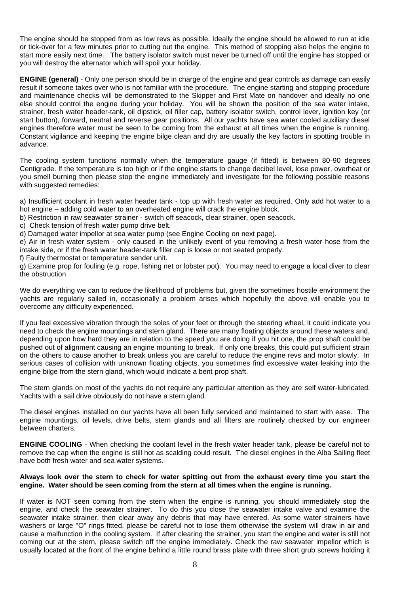The engine should be stopped from as low revs as possible. Ideally the engine should be allowed to run at idle or tick-over for a few minutes prior to cutting out the engine. This method of stopping also helps the engine to start more easily next time. The battery isolator switch must never be turned off until the engine has stopped or you will destroy the alternator which will spoil your holiday.

**ENGINE (general)** - Only one person should be in charge of the engine and gear controls as damage can easily result if someone takes over who is not familiar with the procedure. The engine starting and stopping procedure and maintenance checks will be demonstrated to the Skipper and First Mate on handover and ideally no one else should control the engine during your holiday. You will be shown the position of the sea water intake, strainer, fresh water header-tank, oil dipstick, oil filler cap, battery isolator switch, control lever, ignition key (or start button), forward, neutral and reverse gear positions. All our yachts have sea water cooled auxiliary diesel engines therefore water must be seen to be coming from the exhaust at all times when the engine is running. Constant vigilance and keeping the engine bilge clean and dry are usually the key factors in spotting trouble in advance.

The cooling system functions normally when the temperature gauge (if fitted) is between 80-90 degrees Centigrade. If the temperature is too high or if the engine starts to change decibel level, lose power, overheat or you smell burning then please stop the engine immediately and investigate for the following possible reasons with suggested remedies:

a) Insufficient coolant in fresh water header tank - top up with fresh water as required. Only add hot water to a hot engine – adding cold water to an overheated engine will crack the engine block.

b) Restriction in raw seawater strainer - switch off seacock, clear strainer, open seacock.

c) Check tension of fresh water pump drive belt.

d) Damaged water impellor at sea water pump (see Engine Cooling on next page).

e) Air in fresh water system - only caused in the unlikely event of you removing a fresh water hose from the intake side, or if the fresh water header-tank filler cap is loose or not seated properly.

f) Faulty thermostat or temperature sender unit.

g) Examine prop for fouling (e.g. rope, fishing net or lobster pot). You may need to engage a local diver to clear the obstruction

We do everything we can to reduce the likelihood of problems but, given the sometimes hostile environment the yachts are regularly sailed in, occasionally a problem arises which hopefully the above will enable you to overcome any difficulty experienced.

If you feel excessive vibration through the soles of your feet or through the steering wheel, it could indicate you need to check the engine mountings and stern gland. There are many floating objects around these waters and, depending upon how hard they are in relation to the speed you are doing if you hit one, the prop shaft could be pushed out of alignment causing an engine mounting to break. If only one breaks, this could put sufficient strain on the others to cause another to break unless you are careful to reduce the engine revs and motor slowly. In serious cases of collision with unknown floating objects, you sometimes find excessive water leaking into the engine bilge from the stern gland, which would indicate a bent prop shaft.

The stern glands on most of the yachts do not require any particular attention as they are self water-lubricated. Yachts with a sail drive obviously do not have a stern gland.

The diesel engines installed on our yachts have all been fully serviced and maintained to start with ease. The engine mountings, oil levels, drive belts, stern glands and all filters are routinely checked by our engineer between charters.

**ENGINE COOLING** - When checking the coolant level in the fresh water header tank, please be careful not to remove the cap when the engine is still hot as scalding could result. The diesel engines in the Alba Sailing fleet have both fresh water and sea water systems.

#### **Always look over the stern to check for water spitting out from the exhaust every time you start the engine. Water should be seen coming from the stern at all times when the engine is running.**

If water is NOT seen coming from the stern when the engine is running, you should immediately stop the engine, and check the seawater strainer. To do this you close the seawater intake valve and examine the seawater intake strainer, then clear away any debris that may have entered. As some water strainers have washers or large "O" rings fitted, please be careful not to lose them otherwise the system will draw in air and cause a malfunction in the cooling system. If after clearing the strainer, you start the engine and water is still not coming out at the stern, please switch off the engine immediately. Check the raw seawater impellor which is usually located at the front of the engine behind a little round brass plate with three short grub screws holding it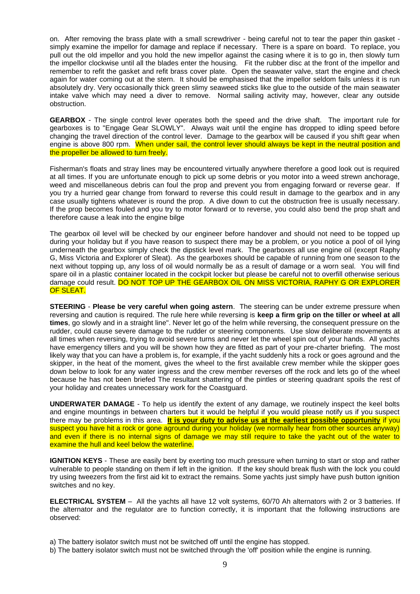on. After removing the brass plate with a small screwdriver - being careful not to tear the paper thin gasket simply examine the impellor for damage and replace if necessary. There is a spare on board. To replace, you pull out the old impellor and you hold the new impellor against the casing where it is to go in, then slowly turn the impellor clockwise until all the blades enter the housing. Fit the rubber disc at the front of the impellor and remember to refit the gasket and refit brass cover plate. Open the seawater valve, start the engine and check again for water coming out at the stern. It should be emphasised that the impellor seldom fails unless it is run absolutely dry. Very occasionally thick green slimy seaweed sticks like glue to the outside of the main seawater intake valve which may need a diver to remove. Normal sailing activity may, however, clear any outside obstruction.

**GEARBOX** - The single control lever operates both the speed and the drive shaft. The important rule for gearboxes is to "Engage Gear SLOWLY". Always wait until the engine has dropped to idling speed before changing the travel direction of the control lever. Damage to the gearbox will be caused if you shift gear when engine is above 800 rpm. When under sail, the control lever should always be kept in the neutral position and the propeller be allowed to turn freely.

Fisherman's floats and stray lines may be encountered virtually anywhere therefore a good look out is required at all times. If you are unfortunate enough to pick up some debris or you motor into a weed strewn anchorage, weed and miscellaneous debris can foul the prop and prevent you from engaging forward or reverse gear. If you try a hurried gear change from forward to reverse this could result in damage to the gearbox and in any case usually tightens whatever is round the prop. A dive down to cut the obstruction free is usually necessary. If the prop becomes fouled and you try to motor forward or to reverse, you could also bend the prop shaft and therefore cause a leak into the engine bilge

The gearbox oil level will be checked by our engineer before handover and should not need to be topped up during your holiday but if you have reason to suspect there may be a problem, or you notice a pool of oil lying underneath the gearbox simply check the dipstick level mark. The gearboxes all use engine oil (except Raphy G, Miss Victoria and Explorer of Sleat). As the gearboxes should be capable of running from one season to the next without topping up, any loss of oil would normally be as a result of damage or a worn seal. You will find spare oil in a plastic container located in the cockpit locker but please be careful not to overfill otherwise serious damage could result. DO NOT TOP UP THE GEARBOX OIL ON MISS VICTORIA, RAPHY G OR EXPLORER OF SLEAT.

**STEERING** - **Please be very careful when going astern**. The steering can be under extreme pressure when reversing and caution is required. The rule here while reversing is **keep a firm grip on the tiller or wheel at all times**, go slowly and in a straight line". Never let go of the helm while reversing, the consequent pressure on the rudder, could cause severe damage to the rudder or steering components. Use slow deliberate movements at all times when reversing, trying to avoid severe turns and never let the wheel spin out of your hands. All yachts have emergency tillers and you will be shown how they are fitted as part of your pre-charter briefing. The most likely way that you can have a problem is, for example, if the yacht suddenly hits a rock or goes aground and the skipper, in the heat of the moment, gives the wheel to the first available crew member while the skipper goes down below to look for any water ingress and the crew member reverses off the rock and lets go of the wheel because he has not been briefed The resultant shattering of the pintles or steering quadrant spoils the rest of your holiday and creates unnecessary work for the Coastguard.

**UNDERWATER DAMAGE** - To help us identify the extent of any damage, we routinely inspect the keel bolts and engine mountings in between charters but it would be helpful if you would please notify us if you suspect there may be problems in this area. **It is your duty to advise us at the earliest possible opportunity** if you suspect you have hit a rock or gone aground during your holiday (we normally hear from other sources anyway) and even if there is no internal signs of damage we may still require to take the yacht out of the water to examine the hull and keel below the waterline.

**IGNITION KEYS** - These are easily bent by exerting too much pressure when turning to start or stop and rather vulnerable to people standing on them if left in the ignition. If the key should break flush with the lock you could try using tweezers from the first aid kit to extract the remains. Some yachts just simply have push button ignition switches and no key.

**ELECTRICAL SYSTEM** – All the yachts all have 12 volt systems, 60/70 Ah alternators with 2 or 3 batteries. If the alternator and the regulator are to function correctly, it is important that the following instructions are observed:

a) The battery isolator switch must not be switched off until the engine has stopped.

b) The battery isolator switch must not be switched through the 'off' position while the engine is running.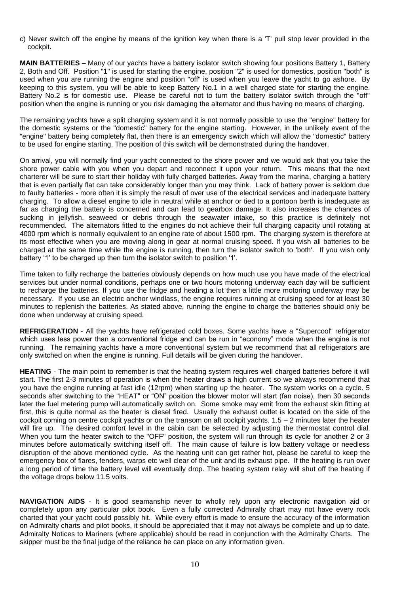c) Never switch off the engine by means of the ignition key when there is a 'T' pull stop lever provided in the cockpit.

**MAIN BATTERIES** – Many of our yachts have a battery isolator switch showing four positions Battery 1, Battery 2, Both and Off. Position "1" is used for starting the engine, position "2" is used for domestics, position "both" is used when you are running the engine and position "off" is used when you leave the yacht to go ashore. By keeping to this system, you will be able to keep Battery No.1 in a well charged state for starting the engine. Battery No.2 is for domestic use. Please be careful not to turn the battery isolator switch through the "off" position when the engine is running or you risk damaging the alternator and thus having no means of charging.

The remaining yachts have a split charging system and it is not normally possible to use the "engine" battery for the domestic systems or the "domestic" battery for the engine starting. However, in the unlikely event of the "engine" battery being completely flat, then there is an emergency switch which will allow the "domestic" battery to be used for engine starting. The position of this switch will be demonstrated during the handover.

On arrival, you will normally find your yacht connected to the shore power and we would ask that you take the shore power cable with you when you depart and reconnect it upon your return. This means that the next charterer will be sure to start their holiday with fully charged batteries. Away from the marina, charging a battery that is even partially flat can take considerably longer than you may think. Lack of battery power is seldom due to faulty batteries - more often it is simply the result of over use of the electrical services and inadequate battery charging. To allow a diesel engine to idle in neutral while at anchor or tied to a pontoon berth is inadequate as far as charging the battery is concerned and can lead to gearbox damage. It also increases the chances of sucking in jellyfish, seaweed or debris through the seawater intake, so this practice is definitely not recommended. The alternators fitted to the engines do not achieve their full charging capacity until rotating at 4000 rpm which is normally equivalent to an engine rate of about 1500 rpm. The charging system is therefore at its most effective when you are moving along in gear at normal cruising speed. If you wish all batteries to be charged at the same time while the engine is running, then turn the isolator switch to 'both'. If you wish only battery '1' to be charged up then turn the isolator switch to position '1'.

Time taken to fully recharge the batteries obviously depends on how much use you have made of the electrical services but under normal conditions, perhaps one or two hours motoring underway each day will be sufficient to recharge the batteries. If you use the fridge and heating a lot then a little more motoring underway may be necessary. If you use an electric anchor windlass, the engine requires running at cruising speed for at least 30 minutes to replenish the batteries. As stated above, running the engine to charge the batteries should only be done when underway at cruising speed.

**REFRIGERATION** - All the yachts have refrigerated cold boxes. Some yachts have a "Supercool" refrigerator which uses less power than a conventional fridge and can be run in "economy" mode when the engine is not running. The remaining yachts have a more conventional system but we recommend that all refrigerators are only switched on when the engine is running. Full details will be given during the handover.

**HEATING** - The main point to remember is that the heating system requires well charged batteries before it will start. The first 2-3 minutes of operation is when the heater draws a high current so we always recommend that you have the engine running at fast idle (12rpm) when starting up the heater. The system works on a cycle. 5 seconds after switching to the "HEAT" or "ON" position the blower motor will start (fan noise), then 30 seconds later the fuel metering pump will automatically switch on. Some smoke may emit from the exhaust skin fitting at first, this is quite normal as the heater is diesel fired. Usually the exhaust outlet is located on the side of the cockpit coming on centre cockpit yachts or on the transom on aft cockpit yachts. 1.5 – 2 minutes later the heater will fire up. The desired comfort level in the cabin can be selected by adjusting the thermostat control dial. When you turn the heater switch to the "OFF" position, the system will run through its cycle for another 2 or 3 minutes before automatically switching itself off. The main cause of failure is low battery voltage or needless disruption of the above mentioned cycle. As the heating unit can get rather hot, please be careful to keep the emergency box of flares, fenders, warps etc well clear of the unit and its exhaust pipe. If the heating is run over a long period of time the battery level will eventually drop. The heating system relay will shut off the heating if the voltage drops below 11.5 volts.

**NAVIGATION AIDS** - It is good seamanship never to wholly rely upon any electronic navigation aid or completely upon any particular pilot book. Even a fully corrected Admiralty chart may not have every rock charted that your yacht could possibly hit. While every effort is made to ensure the accuracy of the information on Admiralty charts and pilot books, it should be appreciated that it may not always be complete and up to date. Admiralty Notices to Mariners (where applicable) should be read in conjunction with the Admiralty Charts. The skipper must be the final judge of the reliance he can place on any information given.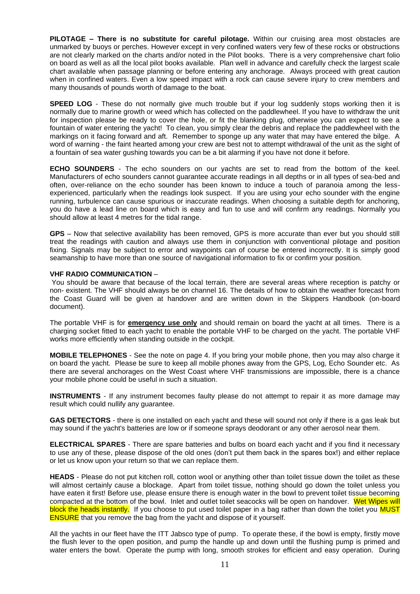**PILOTAGE – There is no substitute for careful pilotage.** Within our cruising area most obstacles are unmarked by buoys or perches. However except in very confined waters very few of these rocks or obstructions are not clearly marked on the charts and/or noted in the Pilot books. There is a very comprehensive chart folio on board as well as all the local pilot books available. Plan well in advance and carefully check the largest scale chart available when passage planning or before entering any anchorage. Always proceed with great caution when in confined waters. Even a low speed impact with a rock can cause severe injury to crew members and many thousands of pounds worth of damage to the boat.

**SPEED LOG** - These do not normally give much trouble but if your log suddenly stops working then it is normally due to marine growth or weed which has collected on the paddlewheel. If you have to withdraw the unit for inspection please be ready to cover the hole, or fit the blanking plug, otherwise you can expect to see a fountain of water entering the yacht! To clean, you simply clear the debris and replace the paddlewheel with the markings on it facing forward and aft. Remember to sponge up any water that may have entered the bilge. A word of warning - the faint hearted among your crew are best not to attempt withdrawal of the unit as the sight of a fountain of sea water gushing towards you can be a bit alarming if you have not done it before.

**ECHO SOUNDERS** - The echo sounders on our yachts are set to read from the bottom of the keel. Manufacturers of echo sounders cannot guarantee accurate readings in all depths or in all types of sea-bed and often, over-reliance on the echo sounder has been known to induce a touch of paranoia among the lessexperienced, particularly when the readings look suspect. If you are using your echo sounder with the engine running, turbulence can cause spurious or inaccurate readings. When choosing a suitable depth for anchoring, you do have a lead line on board which is easy and fun to use and will confirm any readings. Normally you should allow at least 4 metres for the tidal range.

**GPS** – Now that selective availability has been removed, GPS is more accurate than ever but you should still treat the readings with caution and always use them in conjunction with conventional pilotage and position fixing. Signals may be subject to error and waypoints can of course be entered incorrectly. It is simply good seamanship to have more than one source of navigational information to fix or confirm your position.

#### **VHF RADIO COMMUNICATION** –

You should be aware that because of the local terrain, there are several areas where reception is patchy or non- existent. The VHF should always be on channel 16. The details of how to obtain the weather forecast from the Coast Guard will be given at handover and are written down in the Skippers Handbook (on-board document).

The portable VHF is for **emergency use only** and should remain on board the yacht at all times. There is a charging socket fitted to each yacht to enable the portable VHF to be charged on the yacht. The portable VHF works more efficiently when standing outside in the cockpit.

**MOBILE TELEPHONES** - See the note on page 4. If you bring your mobile phone, then you may also charge it on board the yacht. Please be sure to keep all mobile phones away from the GPS, Log, Echo Sounder etc. As there are several anchorages on the West Coast where VHF transmissions are impossible, there is a chance your mobile phone could be useful in such a situation.

**INSTRUMENTS** - If any instrument becomes faulty please do not attempt to repair it as more damage may result which could nullify any guarantee.

**GAS DETECTORS** - there is one installed on each yacht and these will sound not only if there is a gas leak but may sound if the yacht's batteries are low or if someone sprays deodorant or any other aerosol near them.

**ELECTRICAL SPARES** - There are spare batteries and bulbs on board each yacht and if you find it necessary to use any of these, please dispose of the old ones (don't put them back in the spares box!) and either replace or let us know upon your return so that we can replace them.

**HEADS** - Please do not put kitchen roll, cotton wool or anything other than toilet tissue down the toilet as these will almost certainly cause a blockage. Apart from toilet tissue, nothing should go down the toilet unless you have eaten it first! Before use, please ensure there is enough water in the bowl to prevent toilet tissue becoming compacted at the bottom of the bowl. Inlet and outlet toilet seacocks will be open on handover. Wet Wipes will block the heads instantly. If you choose to put used toilet paper in a bag rather than down the toilet you MUST ENSURE that you remove the bag from the yacht and dispose of it yourself.

All the yachts in our fleet have the ITT Jabsco type of pump. To operate these, if the bowl is empty, firstly move the flush lever to the open position, and pump the handle up and down until the flushing pump is primed and water enters the bowl. Operate the pump with long, smooth strokes for efficient and easy operation. During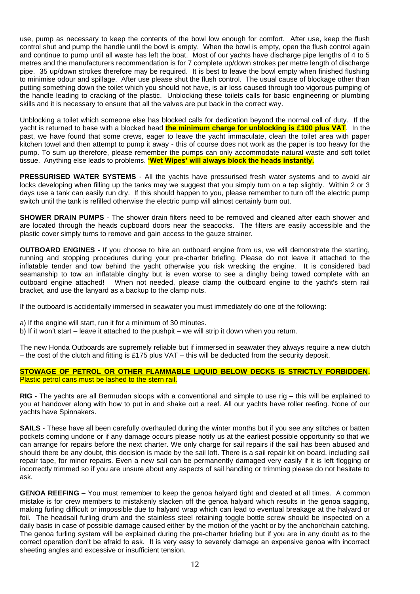use, pump as necessary to keep the contents of the bowl low enough for comfort. After use, keep the flush control shut and pump the handle until the bowl is empty. When the bowl is empty, open the flush control again and continue to pump until all waste has left the boat. Most of our yachts have discharge pipe lengths of 4 to 5 metres and the manufacturers recommendation is for 7 complete up/down strokes per metre length of discharge pipe. 35 up/down strokes therefore may be required. It is best to leave the bowl empty when finished flushing to minimise odour and spillage. After use please shut the flush control. The usual cause of blockage other than putting something down the toilet which you should not have, is air loss caused through too vigorous pumping of the handle leading to cracking of the plastic. Unblocking these toilets calls for basic engineering or plumbing skills and it is necessary to ensure that all the valves are put back in the correct way.

Unblocking a toilet which someone else has blocked calls for dedication beyond the normal call of duty. If the yacht is returned to base with a blocked head **the minimum charge for unblocking is £100 plus VAT**. In the past, we have found that some crews, eager to leave the yacht immaculate, clean the toilet area with paper kitchen towel and then attempt to pump it away - this of course does not work as the paper is too heavy for the pump. To sum up therefore, please remember the pumps can only accommodate natural waste and soft toilet tissue. Anything else leads to problems. **'Wet Wipes' will always block the heads instantly.**

**PRESSURISED WATER SYSTEMS** - All the yachts have pressurised fresh water systems and to avoid air locks developing when filling up the tanks may we suggest that you simply turn on a tap slightly. Within 2 or 3 days use a tank can easily run dry. If this should happen to you, please remember to turn off the electric pump switch until the tank is refilled otherwise the electric pump will almost certainly burn out.

**SHOWER DRAIN PUMPS** - The shower drain filters need to be removed and cleaned after each shower and are located through the heads cupboard doors near the seacocks. The filters are easily accessible and the plastic cover simply turns to remove and gain access to the gauze strainer.

**OUTBOARD ENGINES** - If you choose to hire an outboard engine from us, we will demonstrate the starting, running and stopping procedures during your pre-charter briefing. Please do not leave it attached to the inflatable tender and tow behind the yacht otherwise you risk wrecking the engine. It is considered bad seamanship to tow an inflatable dinghy but is even worse to see a dinghy being towed complete with an outboard engine attached! When not needed, please clamp the outboard engine to the vacht's stern rail When not needed, please clamp the outboard engine to the vacht's stern rail bracket, and use the lanyard as a backup to the clamp nuts.

If the outboard is accidentally immersed in seawater you must immediately do one of the following:

- a) If the engine will start, run it for a minimum of 30 minutes.
- b) If it won't start leave it attached to the pushpit we will strip it down when you return.

The new Honda Outboards are supremely reliable but if immersed in seawater they always require a new clutch – the cost of the clutch and fitting is £175 plus VAT – this will be deducted from the security deposit.

#### **STOWAGE OF PETROL OR OTHER FLAMMABLE LIQUID BELOW DECKS IS STRICTLY FORBIDDEN.** Plastic petrol cans must be lashed to the stern rail.

**RIG** - The yachts are all Bermudan sloops with a conventional and simple to use rig – this will be explained to you at handover along with how to put in and shake out a reef. All our yachts have roller reefing. None of our yachts have Spinnakers.

**SAILS** - These have all been carefully overhauled during the winter months but if you see any stitches or batten pockets coming undone or if any damage occurs please notify us at the earliest possible opportunity so that we can arrange for repairs before the next charter. We only charge for sail repairs if the sail has been abused and should there be any doubt, this decision is made by the sail loft. There is a sail repair kit on board, including sail repair tape, for minor repairs. Even a new sail can be permanently damaged very easily if it is left flogging or incorrectly trimmed so if you are unsure about any aspects of sail handling or trimming please do not hesitate to ask.

**GENOA REEFING** – You must remember to keep the genoa halyard tight and cleated at all times. A common mistake is for crew members to mistakenly slacken off the genoa halyard which results in the genoa sagging, making furling difficult or impossible due to halyard wrap which can lead to eventual breakage at the halyard or foil. The headsail furling drum and the stainless steel retaining toggle bottle screw should be inspected on a daily basis in case of possible damage caused either by the motion of the yacht or by the anchor/chain catching. The genoa furling system will be explained during the pre-charter briefing but if you are in any doubt as to the correct operation don't be afraid to ask. It is very easy to severely damage an expensive genoa with incorrect sheeting angles and excessive or insufficient tension.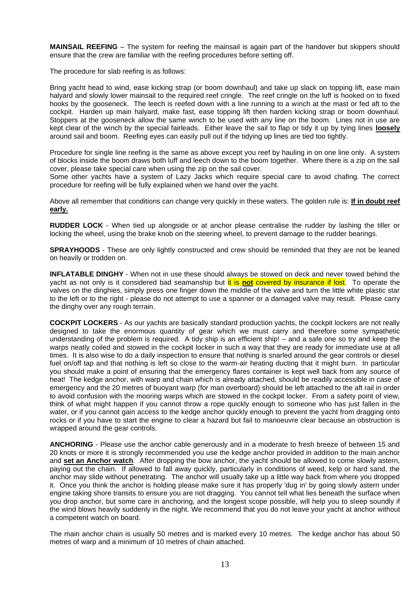**MAINSAIL REEFING** – The system for reefing the mainsail is again part of the handover but skippers should ensure that the crew are familiar with the reefing procedures before setting off.

The procedure for slab reefing is as follows:

Bring yacht head to wind, ease kicking strap (or boom downhaul) and take up slack on topping lift, ease main halyard and slowly lower mainsail to the required reef cringle. The reef cringle on the luff is hooked on to fixed hooks by the gooseneck. The leech is reefed down with a line running to a winch at the mast or fed aft to the cockpit. Harden up main halyard, make fast, ease topping lift then harden kicking strap or boom downhaul. Stoppers at the gooseneck allow the same winch to be used with any line on the boom. Lines not in use are kept clear of the winch by the special fairleads. Either leave the sail to flap or tidy it up by tying lines **loosely** around sail and boom. Reefing eyes can easily pull out if the tidying up lines are tied too tightly.

Procedure for single line reefing is the same as above except you reef by hauling in on one line only. A system of blocks inside the boom draws both luff and leech down to the boom together. Where there is a zip on the sail cover, please take special care when using the zip on the sail cover.

Some other yachts have a system of Lazy Jacks which require special care to avoid chafing. The correct procedure for reefing will be fully explained when we hand over the yacht.

Above all remember that conditions can change very quickly in these waters. The golden rule is: **If in doubt reef early.**

**RUDDER LOCK** - When tied up alongside or at anchor please centralise the rudder by lashing the tiller or locking the wheel, using the brake knob on the steering wheel, to prevent damage to the rudder bearings.

**SPRAYHOODS** - These are only lightly constructed and crew should be reminded that they are not be leaned on heavily or trodden on.

**INFLATABLE DINGHY** - When not in use these should always be stowed on deck and never towed behind the yacht as not only is it considered bad seamanship but it is **not** covered by insurance if lost. To operate the valves on the dinghies, simply press one finger down the middle of the valve and turn the little white plastic star to the left or to the right - please do not attempt to use a spanner or a damaged valve may result. Please carry the dinghy over any rough terrain.

**COCKPIT LOCKERS** - As our yachts are basically standard production yachts, the cockpit lockers are not really designed to take the enormous quantity of gear which we must carry and therefore some sympathetic understanding of the problem is required. A tidy ship is an efficient ship! – and a safe one so try and keep the warps neatly coiled and stowed in the cockpit locker in such a way that they are ready for immediate use at all times. It is also wise to do a daily inspection to ensure that nothing is snarled around the gear controls or diesel fuel on/off tap and that nothing is left so close to the warm-air heating ducting that it might burn. In particular you should make a point of ensuring that the emergency flares container is kept well back from any source of heat! The kedge anchor, with warp and chain which is already attached, should be readily accessible in case of emergency and the 20 metres of buoyant warp (for man overboard) should be left attached to the aft rail in order to avoid confusion with the mooring warps which are stowed in the cockpit locker. From a safety point of view, think of what might happen if you cannot throw a rope quickly enough to someone who has just fallen in the water, or if you cannot gain access to the kedge anchor quickly enough to prevent the yacht from dragging onto rocks or if you have to start the engine to clear a hazard but fail to manoeuvre clear because an obstruction is wrapped around the gear controls.

**ANCHORING** - Please use the anchor cable generously and in a moderate to fresh breeze of between 15 and 20 knots or more it is strongly recommended you use the kedge anchor provided in addition to the main anchor and **set an Anchor watch**. After dropping the bow anchor, the yacht should be allowed to come slowly astern, paying out the chain. If allowed to fall away quickly, particularly in conditions of weed, kelp or hard sand, the anchor may slide without penetrating. The anchor will usually take up a little way back from where you dropped it. Once you think the anchor is holding please make sure it has properly 'dug in' by going slowly astern under engine taking shore transits to ensure you are not dragging. You cannot tell what lies beneath the surface when you drop anchor, but some care in anchoring, and the longest scope possible, will help you to sleep soundly if the wind blows heavily suddenly in the night. We recommend that you do not leave your yacht at anchor without a competent watch on board.

The main anchor chain is usually 50 metres and is marked every 10 metres. The kedge anchor has about 50 metres of warp and a minimum of 10 metres of chain attached.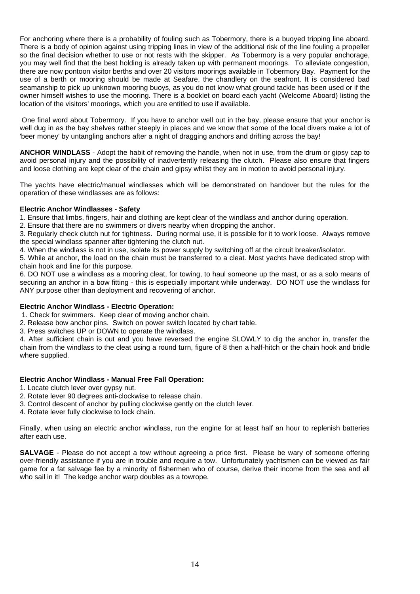For anchoring where there is a probability of fouling such as Tobermory, there is a buoyed tripping line aboard. There is a body of opinion against using tripping lines in view of the additional risk of the line fouling a propeller so the final decision whether to use or not rests with the skipper. As Tobermory is a very popular anchorage, you may well find that the best holding is already taken up with permanent moorings. To alleviate congestion, there are now pontoon visitor berths and over 20 visitors moorings available in Tobermory Bay. Payment for the use of a berth or mooring should be made at Seafare, the chandlery on the seafront. It is considered bad seamanship to pick up unknown mooring buoys, as you do not know what ground tackle has been used or if the owner himself wishes to use the mooring. There is a booklet on board each yacht (Welcome Aboard) listing the location of the visitors' moorings, which you are entitled to use if available.

One final word about Tobermory. If you have to anchor well out in the bay, please ensure that your anchor is well dug in as the bay shelves rather steeply in places and we know that some of the local divers make a lot of 'beer money' by untangling anchors after a night of dragging anchors and drifting across the bay!

**ANCHOR WINDLASS** - Adopt the habit of removing the handle, when not in use, from the drum or gipsy cap to avoid personal injury and the possibility of inadvertently releasing the clutch. Please also ensure that fingers and loose clothing are kept clear of the chain and gipsy whilst they are in motion to avoid personal injury.

The yachts have electric/manual windlasses which will be demonstrated on handover but the rules for the operation of these windlasses are as follows:

#### **Electric Anchor Windlasses - Safety**

1. Ensure that limbs, fingers, hair and clothing are kept clear of the windlass and anchor during operation.

2. Ensure that there are no swimmers or divers nearby when dropping the anchor.

3. Regularly check clutch nut for tightness. During normal use, it is possible for it to work loose. Always remove the special windlass spanner after tightening the clutch nut.

4. When the windlass is not in use, isolate its power supply by switching off at the circuit breaker/isolator.

5. While at anchor, the load on the chain must be transferred to a cleat. Most yachts have dedicated strop with chain hook and line for this purpose.

6. DO NOT use a windlass as a mooring cleat, for towing, to haul someone up the mast, or as a solo means of securing an anchor in a bow fitting - this is especially important while underway. DO NOT use the windlass for ANY purpose other than deployment and recovering of anchor.

#### **Electric Anchor Windlass - Electric Operation:**

1. Check for swimmers. Keep clear of moving anchor chain.

- 2. Release bow anchor pins. Switch on power switch located by chart table.
- 3. Press switches UP or DOWN to operate the windlass.

4. After sufficient chain is out and you have reversed the engine SLOWLY to dig the anchor in, transfer the chain from the windlass to the cleat using a round turn, figure of 8 then a half-hitch or the chain hook and bridle where supplied.

#### **Electric Anchor Windlass - Manual Free Fall Operation:**

- 1. Locate clutch lever over gypsy nut.
- 2. Rotate lever 90 degrees anti-clockwise to release chain.
- 3. Control descent of anchor by pulling clockwise gently on the clutch lever.
- 4. Rotate lever fully clockwise to lock chain.

Finally, when using an electric anchor windlass, run the engine for at least half an hour to replenish batteries after each use.

**SALVAGE** - Please do not accept a tow without agreeing a price first. Please be wary of someone offering over-friendly assistance if you are in trouble and require a tow. Unfortunately yachtsmen can be viewed as fair game for a fat salvage fee by a minority of fishermen who of course, derive their income from the sea and all who sail in it! The kedge anchor warp doubles as a towrope.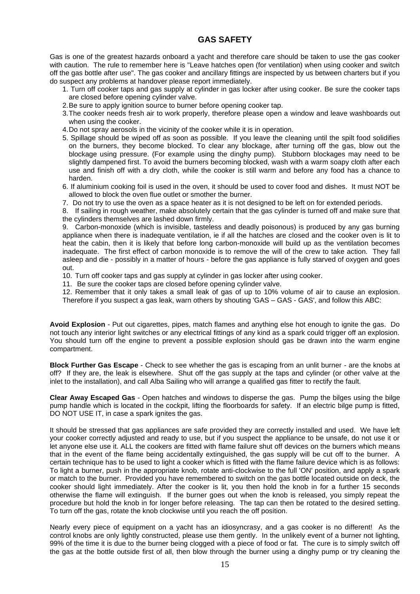### **GAS SAFETY**

Gas is one of the greatest hazards onboard a yacht and therefore care should be taken to use the gas cooker with caution. The rule to remember here is "Leave hatches open (for ventilation) when using cooker and switch off the gas bottle after use". The gas cooker and ancillary fittings are inspected by us between charters but if you do suspect any problems at handover please report immediately.

- 1. Turn off cooker taps and gas supply at cylinder in gas locker after using cooker. Be sure the cooker taps are closed before opening cylinder valve.
- 2.Be sure to apply ignition source to burner before opening cooker tap.
- 3.The cooker needs fresh air to work properly, therefore please open a window and leave washboards out when using the cooker.
- 4.Do not spray aerosols in the vicinity of the cooker while it is in operation.
- 5. Spillage should be wiped off as soon as possible. If you leave the cleaning until the spilt food solidifies on the burners, they become blocked. To clear any blockage, after turning off the gas, blow out the blockage using pressure. (For example using the dinghy pump). Stubborn blockages may need to be slightly dampened first. To avoid the burners becoming blocked, wash with a warm soapy cloth after each use and finish off with a dry cloth, while the cooker is still warm and before any food has a chance to harden.
- 6. If aluminium cooking foil is used in the oven, it should be used to cover food and dishes. It must NOT be allowed to block the oven flue outlet or smother the burner.
- 7. Do not try to use the oven as a space heater as it is not designed to be left on for extended periods.

8. If sailing in rough weather, make absolutely certain that the gas cylinder is turned off and make sure that the cylinders themselves are lashed down firmly.

9. Carbon-monoxide (which is invisible, tasteless and deadly poisonous) is produced by any gas burning appliance when there is inadequate ventilation, ie if all the hatches are closed and the cooker oven is lit to heat the cabin, then it is likely that before long carbon-monoxide will build up as the ventilation becomes inadequate. The first effect of carbon monoxide is to remove the will of the crew to take action. They fall asleep and die - possibly in a matter of hours - before the gas appliance is fully starved of oxygen and goes out.

- 10. Turn off cooker taps and gas supply at cylinder in gas locker after using cooker.
- 11. Be sure the cooker taps are closed before opening cylinder valve.

12. Remember that it only takes a small leak of gas of up to 10% volume of air to cause an explosion. Therefore if you suspect a gas leak, warn others by shouting 'GAS – GAS - GAS', and follow this ABC:

**Avoid Explosion** - Put out cigarettes, pipes, match flames and anything else hot enough to ignite the gas. Do not touch any interior light switches or any electrical fittings of any kind as a spark could trigger off an explosion. You should turn off the engine to prevent a possible explosion should gas be drawn into the warm engine compartment.

**Block Further Gas Escape** - Check to see whether the gas is escaping from an unlit burner - are the knobs at off? If they are, the leak is elsewhere. Shut off the gas supply at the taps and cylinder (or other valve at the inlet to the installation), and call Alba Sailing who will arrange a qualified gas fitter to rectify the fault.

**Clear Away Escaped Gas** - Open hatches and windows to disperse the gas. Pump the bilges using the bilge pump handle which is located in the cockpit, lifting the floorboards for safety. If an electric bilge pump is fitted, DO NOT USE IT, in case a spark ignites the gas.

It should be stressed that gas appliances are safe provided they are correctly installed and used. We have left your cooker correctly adjusted and ready to use, but if you suspect the appliance to be unsafe, do not use it or let anyone else use it. ALL the cookers are fitted with flame failure shut off devices on the burners which means that in the event of the flame being accidentally extinguished, the gas supply will be cut off to the burner. A certain technique has to be used to light a cooker which is fitted with the flame failure device which is as follows: To light a burner, push in the appropriate knob, rotate anti-clockwise to the full 'ON' position, and apply a spark or match to the burner. Provided you have remembered to switch on the gas bottle located outside on deck, the cooker should light immediately. After the cooker is lit, you then hold the knob in for a further 15 seconds otherwise the flame will extinguish. If the burner goes out when the knob is released, you simply repeat the procedure but hold the knob in for longer before releasing. The tap can then be rotated to the desired setting. To turn off the gas, rotate the knob clockwise until you reach the off position.

Nearly every piece of equipment on a yacht has an idiosyncrasy, and a gas cooker is no different! As the control knobs are only lightly constructed, please use them gently. In the unlikely event of a burner not lighting, 99% of the time it is due to the burner being clogged with a piece of food or fat. The cure is to simply switch off the gas at the bottle outside first of all, then blow through the burner using a dinghy pump or try cleaning the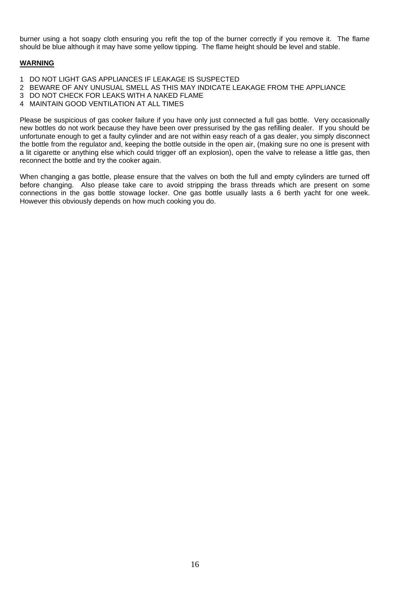burner using a hot soapy cloth ensuring you refit the top of the burner correctly if you remove it. The flame should be blue although it may have some yellow tipping. The flame height should be level and stable.

#### **WARNING**

- 1 DO NOT LIGHT GAS APPLIANCES IF LEAKAGE IS SUSPECTED
- 2 BEWARE OF ANY UNUSUAL SMELL AS THIS MAY INDICATE LEAKAGE FROM THE APPLIANCE
- 3 DO NOT CHECK FOR LEAKS WITH A NAKED FLAME
- 4 MAINTAIN GOOD VENTILATION AT ALL TIMES

Please be suspicious of gas cooker failure if you have only just connected a full gas bottle. Very occasionally new bottles do not work because they have been over pressurised by the gas refilling dealer. If you should be unfortunate enough to get a faulty cylinder and are not within easy reach of a gas dealer, you simply disconnect the bottle from the regulator and, keeping the bottle outside in the open air, (making sure no one is present with a lit cigarette or anything else which could trigger off an explosion), open the valve to release a little gas, then reconnect the bottle and try the cooker again.

When changing a gas bottle, please ensure that the valves on both the full and empty cylinders are turned off before changing. Also please take care to avoid stripping the brass threads which are present on some connections in the gas bottle stowage locker. One gas bottle usually lasts a 6 berth yacht for one week. However this obviously depends on how much cooking you do.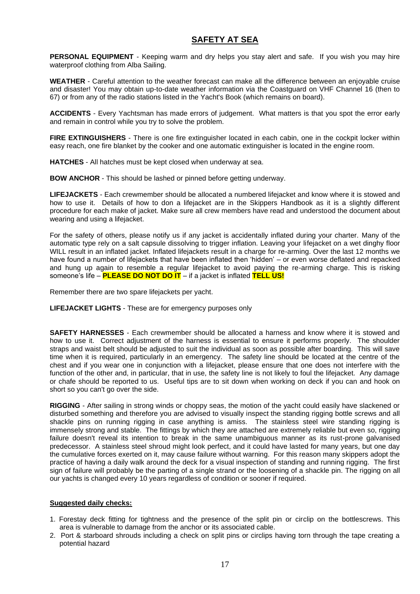#### **SAFETY AT SEA**

**PERSONAL EQUIPMENT** - Keeping warm and dry helps you stay alert and safe. If you wish you may hire waterproof clothing from Alba Sailing.

**WEATHER** - Careful attention to the weather forecast can make all the difference between an enjoyable cruise and disaster! You may obtain up-to-date weather information via the Coastguard on VHF Channel 16 (then to 67) or from any of the radio stations listed in the Yacht's Book (which remains on board).

**ACCIDENTS** - Every Yachtsman has made errors of judgement. What matters is that you spot the error early and remain in control while you try to solve the problem.

**FIRE EXTINGUISHERS** - There is one fire extinguisher located in each cabin, one in the cockpit locker within easy reach, one fire blanket by the cooker and one automatic extinguisher is located in the engine room.

**HATCHES** - All hatches must be kept closed when underway at sea.

**BOW ANCHOR** - This should be lashed or pinned before getting underway.

**LIFEJACKETS** - Each crewmember should be allocated a numbered lifejacket and know where it is stowed and how to use it. Details of how to don a lifejacket are in the Skippers Handbook as it is a slightly different procedure for each make of jacket. Make sure all crew members have read and understood the document about wearing and using a lifejacket.

For the safety of others, please notify us if any jacket is accidentally inflated during your charter. Many of the automatic type rely on a salt capsule dissolving to trigger inflation. Leaving your lifejacket on a wet dinghy floor WILL result in an inflated jacket. Inflated lifejackets result in a charge for re-arming. Over the last 12 months we have found a number of lifejackets that have been inflated then 'hidden' – or even worse deflated and repacked and hung up again to resemble a regular lifejacket to avoid paying the re-arming charge. This is risking someone's life – **PLEASE DO NOT DO IT** – if a jacket is inflated **TELL US!**

Remember there are two spare lifejackets per yacht.

**LIFEJACKET LIGHTS** - These are for emergency purposes only

**SAFETY HARNESSES** - Each crewmember should be allocated a harness and know where it is stowed and how to use it. Correct adjustment of the harness is essential to ensure it performs properly. The shoulder straps and waist belt should be adjusted to suit the individual as soon as possible after boarding. This will save time when it is required, particularly in an emergency. The safety line should be located at the centre of the chest and if you wear one in conjunction with a lifejacket, please ensure that one does not interfere with the function of the other and, in particular, that in use, the safety line is not likely to foul the lifejacket. Any damage or chafe should be reported to us. Useful tips are to sit down when working on deck if you can and hook on short so you can't go over the side.

**RIGGING** - After sailing in strong winds or choppy seas, the motion of the yacht could easily have slackened or disturbed something and therefore you are advised to visually inspect the standing rigging bottle screws and all shackle pins on running rigging in case anything is amiss. The stainless steel wire standing rigging is immensely strong and stable. The fittings by which they are attached are extremely reliable but even so, rigging failure doesn't reveal its intention to break in the same unambiguous manner as its rust-prone galvanised predecessor. A stainless steel shroud might look perfect, and it could have lasted for many years, but one day the cumulative forces exerted on it, may cause failure without warning. For this reason many skippers adopt the practice of having a daily walk around the deck for a visual inspection of standing and running rigging. The first sign of failure will probably be the parting of a single strand or the loosening of a shackle pin. The rigging on all our yachts is changed every 10 years regardless of condition or sooner if required.

#### **Suggested daily checks:**

- 1. Forestay deck fitting for tightness and the presence of the split pin or circlip on the bottlescrews. This area is vulnerable to damage from the anchor or its associated cable.
- 2. Port & starboard shrouds including a check on split pins or circlips having torn through the tape creating a potential hazard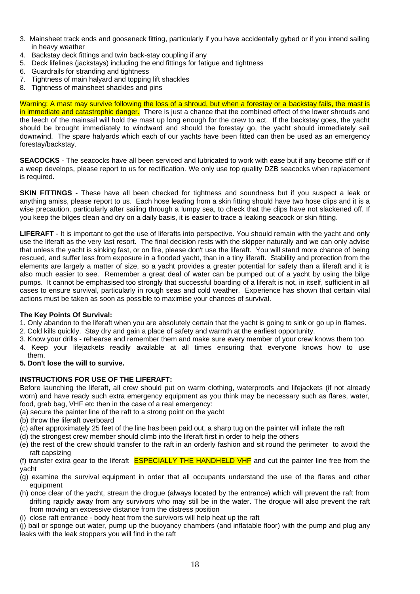- 3. Mainsheet track ends and gooseneck fitting, particularly if you have accidentally gybed or if you intend sailing in heavy weather
- 4. Backstay deck fittings and twin back-stay coupling if any
- 5. Deck lifelines (jackstays) including the end fittings for fatigue and tightness
- 6. Guardrails for stranding and tightness
- 7. Tightness of main halyard and topping lift shackles
- 8. Tightness of mainsheet shackles and pins

Warning: A mast may survive following the loss of a shroud, but when a forestay or a backstay fails, the mast is in immediate and catastrophic danger. There is just a chance that the combined effect of the lower shrouds and the leech of the mainsail will hold the mast up long enough for the crew to act. If the backstay goes, the yacht should be brought immediately to windward and should the forestay go, the yacht should immediately sail downwind. The spare halyards which each of our yachts have been fitted can then be used as an emergency forestay/backstay.

**SEACOCKS** - The seacocks have all been serviced and lubricated to work with ease but if any become stiff or if a weep develops, please report to us for rectification. We only use top quality DZB seacocks when replacement is required.

**SKIN FITTINGS** - These have all been checked for tightness and soundness but if you suspect a leak or anything amiss, please report to us. Each hose leading from a skin fitting should have two hose clips and it is a wise precaution, particularly after sailing through a lumpy sea, to check that the clips have not slackened off. If you keep the bilges clean and dry on a daily basis, it is easier to trace a leaking seacock or skin fitting.

**LIFERAFT** - It is important to get the use of liferafts into perspective. You should remain with the yacht and only use the liferaft as the very last resort. The final decision rests with the skipper naturally and we can only advise that unless the yacht is sinking fast, or on fire, please don't use the liferaft. You will stand more chance of being rescued, and suffer less from exposure in a flooded yacht, than in a tiny liferaft. Stability and protection from the elements are largely a matter of size, so a yacht provides a greater potential for safety than a liferaft and it is also much easier to see. Remember a great deal of water can be pumped out of a yacht by using the bilge pumps. It cannot be emphasised too strongly that successful boarding of a liferaft is not, in itself, sufficient in all cases to ensure survival, particularly in rough seas and cold weather. Experience has shown that certain vital actions must be taken as soon as possible to maximise your chances of survival.

#### **The Key Points Of Survival:**

- 1. Only abandon to the liferaft when you are absolutely certain that the yacht is going to sink or go up in flames.
- 2. Cold kills quickly. Stay dry and gain a place of safety and warmth at the earliest opportunity.
- 3. Know your drills rehearse and remember them and make sure every member of your crew knows them too.
- 4. Keep your lifejackets readily available at all times ensuring that everyone knows how to use them.

#### **5. Don't lose the will to survive.**

#### **INSTRUCTIONS FOR USE OF THE LIFERAFT:**

Before launching the liferaft, all crew should put on warm clothing, waterproofs and lifejackets (if not already worn) and have ready such extra emergency equipment as you think may be necessary such as flares, water, food, grab bag, VHF etc then in the case of a real emergency:

- (a) secure the painter line of the raft to a strong point on the yacht
- (b) throw the liferaft overboard
- (c) after approximately 25 feet of the line has been paid out, a sharp tug on the painter will inflate the raft
- (d) the strongest crew member should climb into the liferaft first in order to help the others
- (e) the rest of the crew should transfer to the raft in an orderly fashion and sit round the perimeter to avoid the raft capsizing

(f) transfer extra gear to the liferaft **ESPECIALLY THE HANDHELD VHF** and cut the painter line free from the yacht

- (g) examine the survival equipment in order that all occupants understand the use of the flares and other equipment
- (h) once clear of the yacht, stream the drogue (always located by the entrance) which will prevent the raft from drifting rapidly away from any survivors who may still be in the water. The drogue will also prevent the raft from moving an excessive distance from the distress position
- (i) close raft entrance body heat from the survivors will help heat up the raft

(j) bail or sponge out water, pump up the buoyancy chambers (and inflatable floor) with the pump and plug any leaks with the leak stoppers you will find in the raft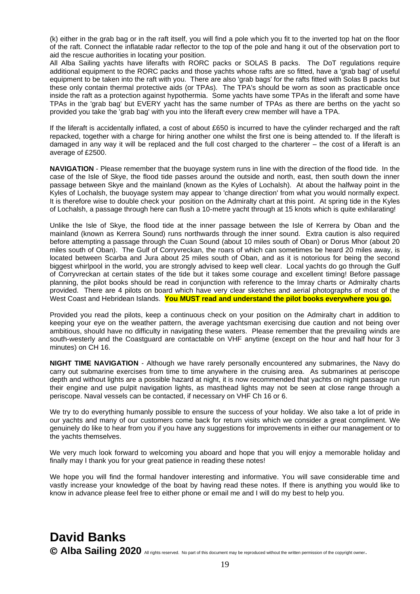(k) either in the grab bag or in the raft itself, you will find a pole which you fit to the inverted top hat on the floor of the raft. Connect the inflatable radar reflector to the top of the pole and hang it out of the observation port to aid the rescue authorities in locating your position.

All Alba Sailing yachts have liferafts with RORC packs or SOLAS B packs. The DoT regulations require additional equipment to the RORC packs and those yachts whose rafts are so fitted, have a 'grab bag' of useful equipment to be taken into the raft with you. There are also 'grab bags' for the rafts fitted with Solas B packs but these only contain thermal protective aids (or TPAs). The TPA's should be worn as soon as practicable once inside the raft as a protection against hypothermia. Some yachts have some TPAs in the liferaft and some have TPAs in the 'grab bag' but EVERY yacht has the same number of TPAs as there are berths on the yacht so provided you take the 'grab bag' with you into the liferaft every crew member will have a TPA.

If the liferaft is accidentally inflated, a cost of about £650 is incurred to have the cylinder recharged and the raft repacked, together with a charge for hiring another one whilst the first one is being attended to. If the liferaft is damaged in any way it will be replaced and the full cost charged to the charterer – the cost of a liferaft is an average of £2500.

**NAVIGATION** - Please remember that the buoyage system runs in line with the direction of the flood tide. In the case of the Isle of Skye, the flood tide passes around the outside and north, east, then south down the inner passage between Skye and the mainland (known as the Kyles of Lochalsh). At about the halfway point in the Kyles of Lochalsh, the buoyage system may appear to 'change direction' from what you would normally expect. It is therefore wise to double check your position on the Admiralty chart at this point. At spring tide in the Kyles of Lochalsh, a passage through here can flush a 10-metre yacht through at 15 knots which is quite exhilarating!

Unlike the Isle of Skye, the flood tide at the inner passage between the Isle of Kerrera by Oban and the mainland (known as Kerrera Sound) runs northwards through the inner sound. Extra caution is also required before attempting a passage through the Cuan Sound (about 10 miles south of Oban) or Dorus Mhor (about 20 miles south of Oban). The Gulf of Corryvreckan, the roars of which can sometimes be heard 20 miles away, is located between Scarba and Jura about 25 miles south of Oban, and as it is notorious for being the second biggest whirlpool in the world, you are strongly advised to keep well clear. Local yachts do go through the Gulf of Corryvreckan at certain states of the tide but it takes some courage and excellent timing! Before passage planning, the pilot books should be read in conjunction with reference to the Imray charts or Admiralty charts provided. There are 4 pilots on board which have very clear sketches and aerial photographs of most of the West Coast and Hebridean Islands. **You MUST read and understand the pilot books everywhere you go.**

Provided you read the pilots, keep a continuous check on your position on the Admiralty chart in addition to keeping your eye on the weather pattern, the average yachtsman exercising due caution and not being over ambitious, should have no difficulty in navigating these waters. Please remember that the prevailing winds are south-westerly and the Coastguard are contactable on VHF anytime (except on the hour and half hour for 3 minutes) on CH 16.

**NIGHT TIME NAVIGATION** - Although we have rarely personally encountered any submarines, the Navy do carry out submarine exercises from time to time anywhere in the cruising area. As submarines at periscope depth and without lights are a possible hazard at night, it is now recommended that yachts on night passage run their engine and use pulpit navigation lights, as masthead lights may not be seen at close range through a periscope. Naval vessels can be contacted, if necessary on VHF Ch 16 or 6.

We try to do everything humanly possible to ensure the success of your holiday. We also take a lot of pride in our yachts and many of our customers come back for return visits which we consider a great compliment. We genuinely do like to hear from you if you have any suggestions for improvements in either our management or to the yachts themselves.

We very much look forward to welcoming you aboard and hope that you will enjoy a memorable holiday and finally may I thank you for your great patience in reading these notes!

We hope you will find the formal handover interesting and informative. You will save considerable time and vastly increase your knowledge of the boat by having read these notes. If there is anything you would like to know in advance please feel free to either phone or email me and I will do my best to help you.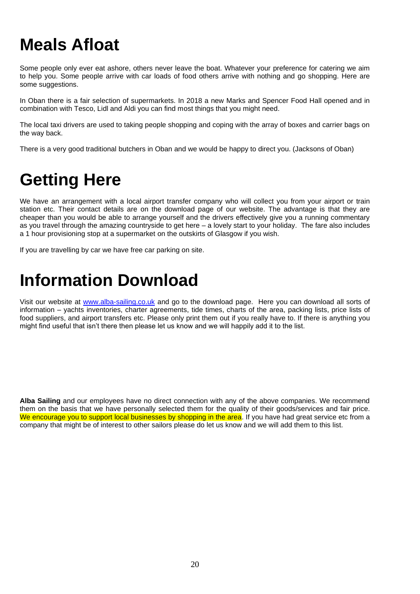# **Meals Afloat**

Some people only ever eat ashore, others never leave the boat. Whatever your preference for catering we aim to help you. Some people arrive with car loads of food others arrive with nothing and go shopping. Here are some suggestions.

In Oban there is a fair selection of supermarkets. In 2018 a new Marks and Spencer Food Hall opened and in combination with Tesco, Lidl and Aldi you can find most things that you might need.

The local taxi drivers are used to taking people shopping and coping with the array of boxes and carrier bags on the way back.

There is a very good traditional butchers in Oban and we would be happy to direct you. (Jacksons of Oban)

# **Getting Here**

We have an arrangement with a local airport transfer company who will collect you from your airport or train station etc. Their contact details are on the download page of our website. The advantage is that they are cheaper than you would be able to arrange yourself and the drivers effectively give you a running commentary as you travel through the amazing countryside to get here – a lovely start to your holiday. The fare also includes a 1 hour provisioning stop at a supermarket on the outskirts of Glasgow if you wish.

If you are travelling by car we have free car parking on site.

## **Information Download**

Visit our website at [www.alba-sailing.co.uk](http://www.alba-sailing.co.uk/) and go to the download page. Here you can download all sorts of information – yachts inventories, charter agreements, tide times, charts of the area, packing lists, price lists of food suppliers, and airport transfers etc. Please only print them out if you really have to. If there is anything you might find useful that isn't there then please let us know and we will happily add it to the list.

**Alba Sailing** and our employees have no direct connection with any of the above companies. We recommend them on the basis that we have personally selected them for the quality of their goods/services and fair price. We encourage you to support local businesses by shopping in the area. If you have had great service etc from a company that might be of interest to other sailors please do let us know and we will add them to this list.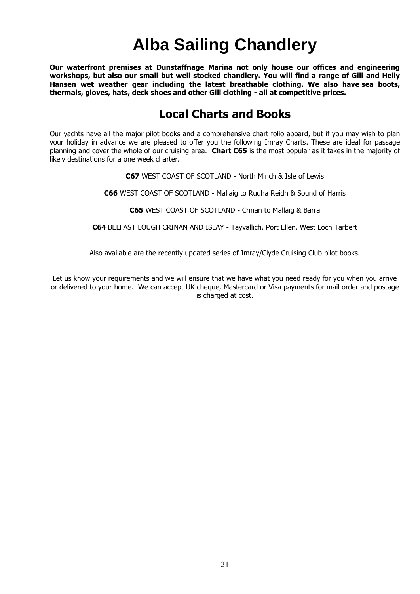# **Alba Sailing Chandlery**

**Our waterfront premises at Dunstaffnage Marina not only house our offices and engineering workshops, but also our small but well stocked chandlery. You will find a range of Gill and Helly Hansen wet weather gear including the latest breathable clothing. We also have sea boots, thermals, gloves, hats, deck shoes and other Gill clothing - all at competitive prices.**

## **Local Charts and Books**

Our yachts have all the major pilot books and a comprehensive chart folio aboard, but if you may wish to plan your holiday in advance we are pleased to offer you the following Imray Charts. These are ideal for passage planning and cover the whole of our cruising area. **Chart C65** is the most popular as it takes in the majority of likely destinations for a one week charter.

**C67** WEST COAST OF SCOTLAND - North Minch & Isle of Lewis

**C66** WEST COAST OF SCOTLAND - Mallaig to Rudha Reidh & Sound of Harris

**C65** WEST COAST OF SCOTLAND - Crinan to Mallaig & Barra

**C64** BELFAST LOUGH CRINAN AND ISLAY - Tayvallich, Port Ellen, West Loch Tarbert

Also available are the recently updated series of Imray/Clyde Cruising Club pilot books.

Let us know your requirements and we will ensure that we have what you need ready for you when you arrive or delivered to your home. We can accept UK cheque, Mastercard or Visa payments for mail order and postage is charged at cost.